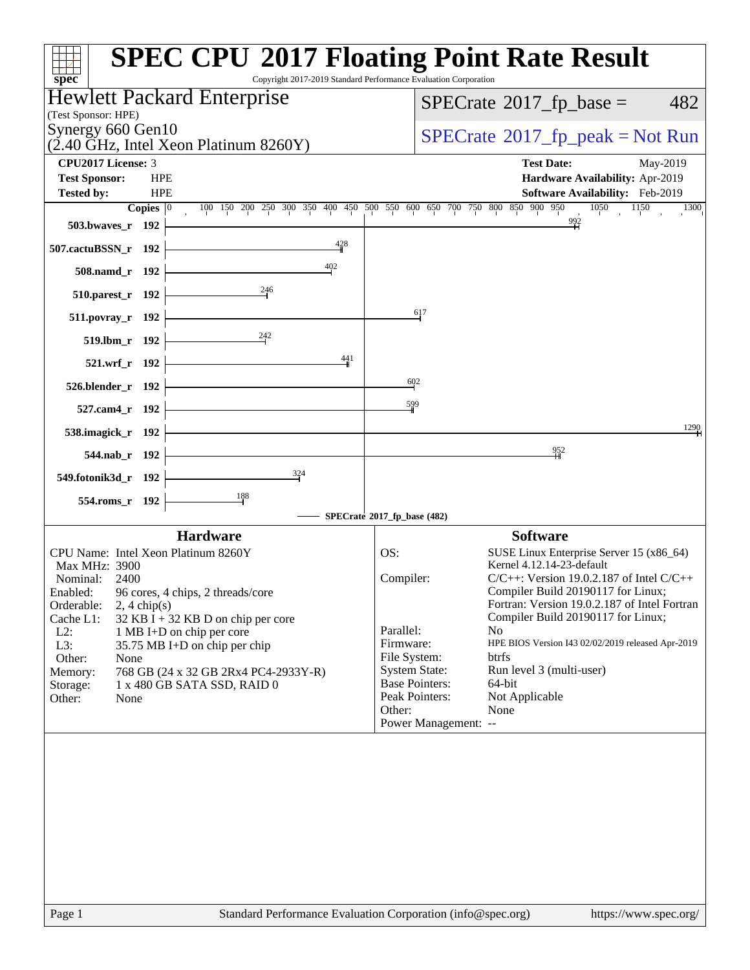| $SPECTate$ <sup>®</sup> 2017_fp_base =<br>482<br>$SPECTate@2017fr peak = Not Run$<br><b>Test Date:</b><br>May-2019<br>Hardware Availability: Apr-2019<br>Software Availability: Feb-2019<br>100 150 200 250 300 350 400 450 500 550 600 650 700 750 800 850 900 950<br>1050<br>1150<br>1300<br>992<br>617 |
|-----------------------------------------------------------------------------------------------------------------------------------------------------------------------------------------------------------------------------------------------------------------------------------------------------------|
|                                                                                                                                                                                                                                                                                                           |
|                                                                                                                                                                                                                                                                                                           |
|                                                                                                                                                                                                                                                                                                           |
|                                                                                                                                                                                                                                                                                                           |
|                                                                                                                                                                                                                                                                                                           |
|                                                                                                                                                                                                                                                                                                           |
|                                                                                                                                                                                                                                                                                                           |
|                                                                                                                                                                                                                                                                                                           |
|                                                                                                                                                                                                                                                                                                           |
|                                                                                                                                                                                                                                                                                                           |
|                                                                                                                                                                                                                                                                                                           |
|                                                                                                                                                                                                                                                                                                           |
|                                                                                                                                                                                                                                                                                                           |
|                                                                                                                                                                                                                                                                                                           |
|                                                                                                                                                                                                                                                                                                           |
| 1290                                                                                                                                                                                                                                                                                                      |
| 952                                                                                                                                                                                                                                                                                                       |
|                                                                                                                                                                                                                                                                                                           |
|                                                                                                                                                                                                                                                                                                           |
| SPECrate®2017_fp_base (482)                                                                                                                                                                                                                                                                               |
| <b>Software</b>                                                                                                                                                                                                                                                                                           |
| SUSE Linux Enterprise Server 15 (x86_64)<br>Kernel 4.12.14-23-default                                                                                                                                                                                                                                     |
| Compiler:<br>$C/C++$ : Version 19.0.2.187 of Intel $C/C++$                                                                                                                                                                                                                                                |
| Compiler Build 20190117 for Linux;                                                                                                                                                                                                                                                                        |
| Fortran: Version 19.0.2.187 of Intel Fortran<br>Compiler Build 20190117 for Linux;                                                                                                                                                                                                                        |
| No.                                                                                                                                                                                                                                                                                                       |
| Firmware:<br>HPE BIOS Version I43 02/02/2019 released Apr-2019                                                                                                                                                                                                                                            |
| File System:<br>btrfs                                                                                                                                                                                                                                                                                     |
| <b>System State:</b><br>Run level 3 (multi-user)                                                                                                                                                                                                                                                          |
| <b>Base Pointers:</b><br>64-bit<br>Peak Pointers:<br>Not Applicable                                                                                                                                                                                                                                       |
| None                                                                                                                                                                                                                                                                                                      |
| Power Management: --                                                                                                                                                                                                                                                                                      |
| Parallel:                                                                                                                                                                                                                                                                                                 |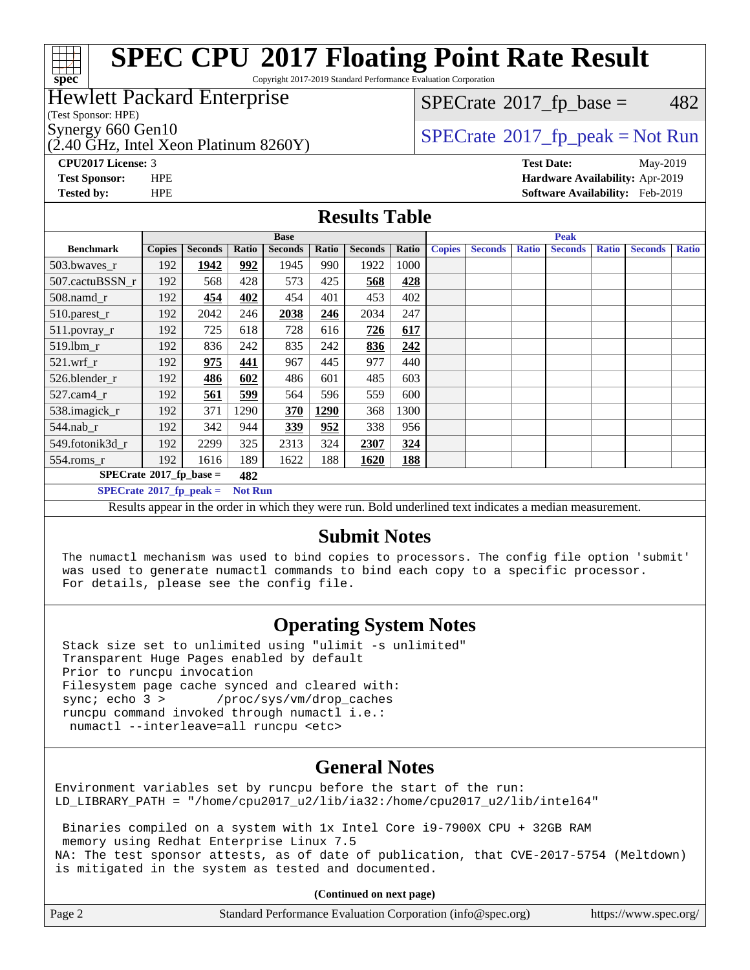### a ta ƙ **[spec](http://www.spec.org/)**

# **[SPEC CPU](http://www.spec.org/auto/cpu2017/Docs/result-fields.html#SPECCPU2017FloatingPointRateResult)[2017 Floating Point Rate Result](http://www.spec.org/auto/cpu2017/Docs/result-fields.html#SPECCPU2017FloatingPointRateResult)**

Copyright 2017-2019 Standard Performance Evaluation Corporation

### Hewlett Packard Enterprise

(Test Sponsor: HPE)

 $(2.40 \text{ GHz}, \text{Intel Xeon Platinum } 8260 \text{Y})$ 

 $SPECTate@2017<sub>fr</sub> base = 482$ 

Synergy 660 Gen10<br>  $SPECrate^{\circ}2017$  $SPECrate^{\circ}2017$ \_fp\_peak = Not Run

**[CPU2017 License:](http://www.spec.org/auto/cpu2017/Docs/result-fields.html#CPU2017License)** 3 **[Test Date:](http://www.spec.org/auto/cpu2017/Docs/result-fields.html#TestDate)** May-2019 **[Test Sponsor:](http://www.spec.org/auto/cpu2017/Docs/result-fields.html#TestSponsor)** HPE **[Hardware Availability:](http://www.spec.org/auto/cpu2017/Docs/result-fields.html#HardwareAvailability)** Apr-2019 **[Tested by:](http://www.spec.org/auto/cpu2017/Docs/result-fields.html#Testedby)** HPE **[Software Availability:](http://www.spec.org/auto/cpu2017/Docs/result-fields.html#SoftwareAvailability)** Feb-2019

#### **[Results Table](http://www.spec.org/auto/cpu2017/Docs/result-fields.html#ResultsTable)**

|                                                                                                         | <b>Base</b>   |                |       |                |       |                |       |               | <b>Peak</b>    |              |                |              |                |              |
|---------------------------------------------------------------------------------------------------------|---------------|----------------|-------|----------------|-------|----------------|-------|---------------|----------------|--------------|----------------|--------------|----------------|--------------|
| <b>Benchmark</b>                                                                                        | <b>Copies</b> | <b>Seconds</b> | Ratio | <b>Seconds</b> | Ratio | <b>Seconds</b> | Ratio | <b>Copies</b> | <b>Seconds</b> | <b>Ratio</b> | <b>Seconds</b> | <b>Ratio</b> | <b>Seconds</b> | <b>Ratio</b> |
| 503.bwayes r                                                                                            | 192           | 1942           | 992   | 1945           | 990   | 1922           | 1000  |               |                |              |                |              |                |              |
| 507.cactuBSSN r                                                                                         | 192           | 568            | 428   | 573            | 425   | 568            | 428   |               |                |              |                |              |                |              |
| $508$ .namd $_r$                                                                                        | 192           | 454            | 402   | 454            | 401   | 453            | 402   |               |                |              |                |              |                |              |
| 510.parest_r                                                                                            | 192           | 2042           | 246   | 2038           | 246   | 2034           | 247   |               |                |              |                |              |                |              |
| 511.povray_r                                                                                            | 192           | 725            | 618   | 728            | 616   | 726            | 617   |               |                |              |                |              |                |              |
| 519.lbm r                                                                                               | 192           | 836            | 242   | 835            | 242   | 836            | 242   |               |                |              |                |              |                |              |
| $521$ .wrf r                                                                                            | 192           | 975            | 441   | 967            | 445   | 977            | 440   |               |                |              |                |              |                |              |
| 526.blender_r                                                                                           | 192           | 486            | 602   | 486            | 601   | 485            | 603   |               |                |              |                |              |                |              |
| $527$ .cam $4r$                                                                                         | 192           | 561            | 599   | 564            | 596   | 559            | 600   |               |                |              |                |              |                |              |
| 538.imagick_r                                                                                           | 192           | 371            | 1290  | 370            | 1290  | 368            | 1300  |               |                |              |                |              |                |              |
| 544.nab r                                                                                               | 192           | 342            | 944   | 339            | 952   | 338            | 956   |               |                |              |                |              |                |              |
| 549.fotonik3d r                                                                                         | 192           | 2299           | 325   | 2313           | 324   | 2307           | 324   |               |                |              |                |              |                |              |
| $554$ .roms_r                                                                                           | 192           | 1616           | 189   | 1622           | 188   | 1620           | 188   |               |                |              |                |              |                |              |
| $SPECrate*2017_fp\_base =$                                                                              |               |                | 482   |                |       |                |       |               |                |              |                |              |                |              |
| $SPECrate^{\circ}2017$ fp peak =<br><b>Not Run</b>                                                      |               |                |       |                |       |                |       |               |                |              |                |              |                |              |
| Deaulte ann an in the ander in which they were my Dald underlined text in diastes a median magazinement |               |                |       |                |       |                |       |               |                |              |                |              |                |              |

Results appear in the [order in which they were run](http://www.spec.org/auto/cpu2017/Docs/result-fields.html#RunOrder). Bold underlined text [indicates a median measurement.](http://www.spec.org/auto/cpu2017/Docs/result-fields.html#Median)

### **[Submit Notes](http://www.spec.org/auto/cpu2017/Docs/result-fields.html#SubmitNotes)**

 The numactl mechanism was used to bind copies to processors. The config file option 'submit' was used to generate numactl commands to bind each copy to a specific processor. For details, please see the config file.

### **[Operating System Notes](http://www.spec.org/auto/cpu2017/Docs/result-fields.html#OperatingSystemNotes)**

 Stack size set to unlimited using "ulimit -s unlimited" Transparent Huge Pages enabled by default Prior to runcpu invocation Filesystem page cache synced and cleared with: sync; echo 3 > /proc/sys/vm/drop\_caches runcpu command invoked through numactl i.e.: numactl --interleave=all runcpu <etc>

### **[General Notes](http://www.spec.org/auto/cpu2017/Docs/result-fields.html#GeneralNotes)**

Environment variables set by runcpu before the start of the run: LD\_LIBRARY\_PATH = "/home/cpu2017\_u2/lib/ia32:/home/cpu2017\_u2/lib/intel64"

 Binaries compiled on a system with 1x Intel Core i9-7900X CPU + 32GB RAM memory using Redhat Enterprise Linux 7.5 NA: The test sponsor attests, as of date of publication, that CVE-2017-5754 (Meltdown) is mitigated in the system as tested and documented.

**(Continued on next page)**

| Page 2<br>Standard Performance Evaluation Corporation (info@spec.org)<br>https://www.spec.org/ |
|------------------------------------------------------------------------------------------------|
|------------------------------------------------------------------------------------------------|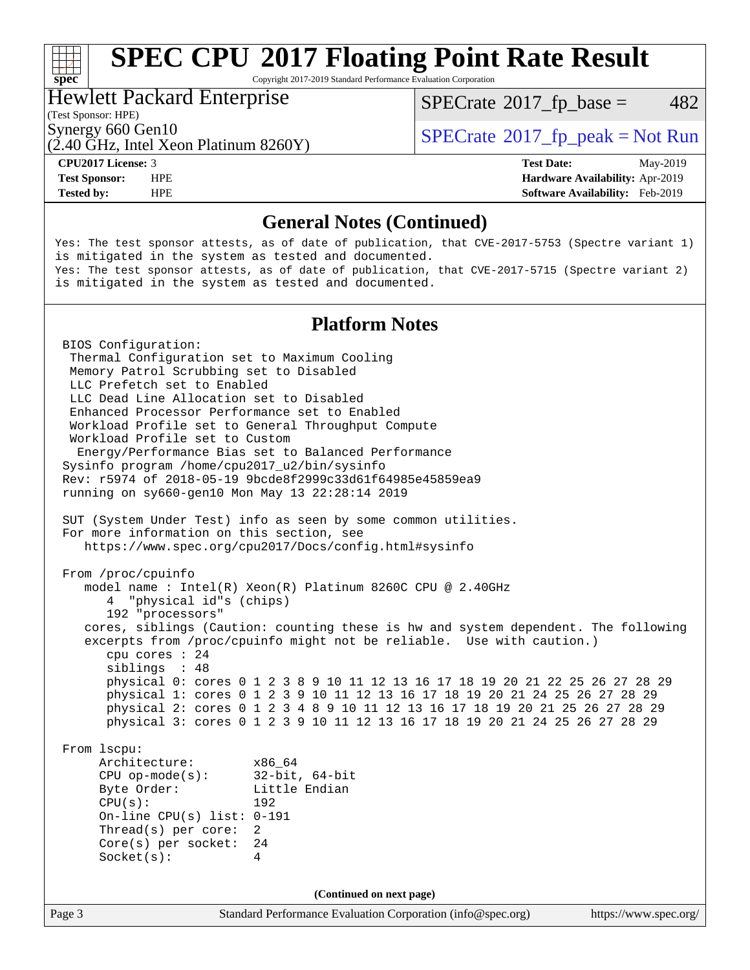# **[spec](http://www.spec.org/)**<sup>®</sup>

# **[SPEC CPU](http://www.spec.org/auto/cpu2017/Docs/result-fields.html#SPECCPU2017FloatingPointRateResult)[2017 Floating Point Rate Result](http://www.spec.org/auto/cpu2017/Docs/result-fields.html#SPECCPU2017FloatingPointRateResult)**

Copyright 2017-2019 Standard Performance Evaluation Corporation

#### Hewlett Packard Enterprise

 $SPECTate@2017<sub>fr</sub> base = 482$ 

(Test Sponsor: HPE)

 $(2.40 \text{ GHz}, \text{Intel Xeon Platinum } 8260 \text{Y})$ 

Synergy 660 Gen10<br>  $SPECrate^{\circ}2017$  $SPECrate^{\circ}2017$  fp\_peak = Not Run

**[CPU2017 License:](http://www.spec.org/auto/cpu2017/Docs/result-fields.html#CPU2017License)** 3 **[Test Date:](http://www.spec.org/auto/cpu2017/Docs/result-fields.html#TestDate)** May-2019 **[Test Sponsor:](http://www.spec.org/auto/cpu2017/Docs/result-fields.html#TestSponsor)** HPE **[Hardware Availability:](http://www.spec.org/auto/cpu2017/Docs/result-fields.html#HardwareAvailability)** Apr-2019 **[Tested by:](http://www.spec.org/auto/cpu2017/Docs/result-fields.html#Testedby)** HPE **[Software Availability:](http://www.spec.org/auto/cpu2017/Docs/result-fields.html#SoftwareAvailability)** Feb-2019

### **[General Notes \(Continued\)](http://www.spec.org/auto/cpu2017/Docs/result-fields.html#GeneralNotes)**

Yes: The test sponsor attests, as of date of publication, that CVE-2017-5753 (Spectre variant 1) is mitigated in the system as tested and documented. Yes: The test sponsor attests, as of date of publication, that CVE-2017-5715 (Spectre variant 2) is mitigated in the system as tested and documented.

### **[Platform Notes](http://www.spec.org/auto/cpu2017/Docs/result-fields.html#PlatformNotes)**

 BIOS Configuration: Thermal Configuration set to Maximum Cooling Memory Patrol Scrubbing set to Disabled LLC Prefetch set to Enabled LLC Dead Line Allocation set to Disabled Enhanced Processor Performance set to Enabled Workload Profile set to General Throughput Compute Workload Profile set to Custom Energy/Performance Bias set to Balanced Performance Sysinfo program /home/cpu2017\_u2/bin/sysinfo Rev: r5974 of 2018-05-19 9bcde8f2999c33d61f64985e45859ea9 running on sy660-gen10 Mon May 13 22:28:14 2019 SUT (System Under Test) info as seen by some common utilities. For more information on this section, see <https://www.spec.org/cpu2017/Docs/config.html#sysinfo> From /proc/cpuinfo model name : Intel(R) Xeon(R) Platinum 8260C CPU @ 2.40GHz 4 "physical id"s (chips) 192 "processors" cores, siblings (Caution: counting these is hw and system dependent. The following excerpts from /proc/cpuinfo might not be reliable. Use with caution.) cpu cores : 24 siblings : 48 physical 0: cores 0 1 2 3 8 9 10 11 12 13 16 17 18 19 20 21 22 25 26 27 28 29 physical 1: cores 0 1 2 3 9 10 11 12 13 16 17 18 19 20 21 24 25 26 27 28 29 physical 2: cores 0 1 2 3 4 8 9 10 11 12 13 16 17 18 19 20 21 25 26 27 28 29 physical 3: cores 0 1 2 3 9 10 11 12 13 16 17 18 19 20 21 24 25 26 27 28 29 From lscpu: Architecture: x86\_64 CPU op-mode(s): 32-bit, 64-bit Byte Order: Little Endian CPU(s): 192 On-line CPU(s) list: 0-191 Thread(s) per core: 2 Core(s) per socket: 24 Socket(s): 4 **(Continued on next page)**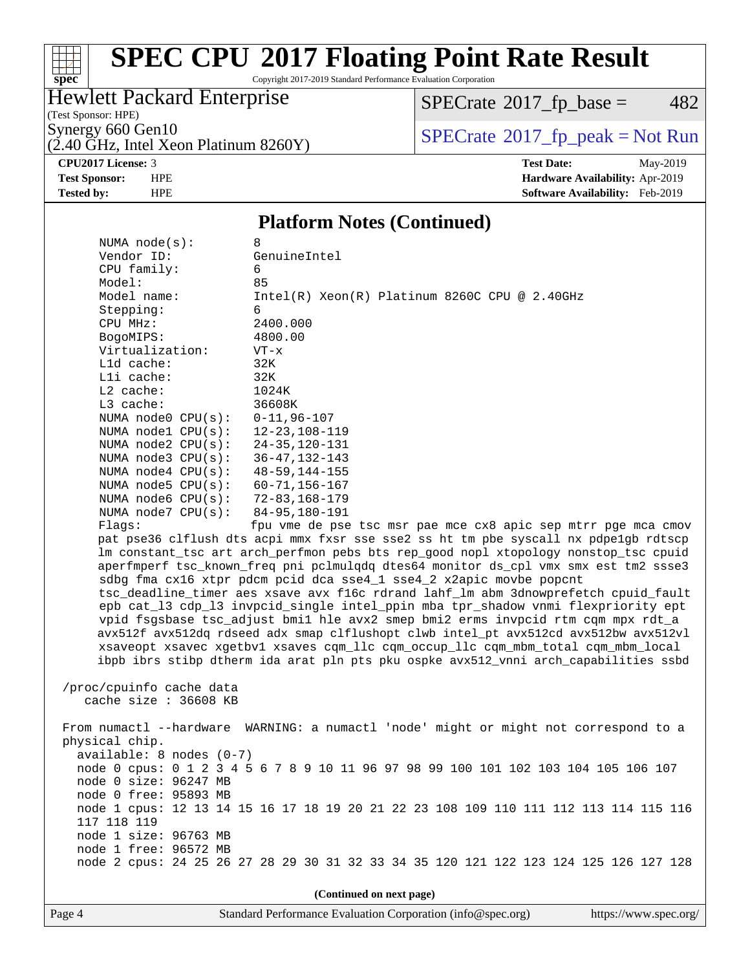

## **[SPEC CPU](http://www.spec.org/auto/cpu2017/Docs/result-fields.html#SPECCPU2017FloatingPointRateResult)[2017 Floating Point Rate Result](http://www.spec.org/auto/cpu2017/Docs/result-fields.html#SPECCPU2017FloatingPointRateResult)**

Copyright 2017-2019 Standard Performance Evaluation Corporation

### Hewlett Packard Enterprise

 $SPECTate$ <sup>®</sup>[2017\\_fp\\_base =](http://www.spec.org/auto/cpu2017/Docs/result-fields.html#SPECrate2017fpbase) 482

(Test Sponsor: HPE)

 $(2.40 \text{ GHz}, \text{Intel Xeon Platinum } 8260 \text{Y})$ 

Synergy 660 Gen10<br>  $\begin{array}{c}\n\text{SPECTate} \textcircled{2017\_fp\_peak} = \text{Not Run} \\
\text{SPECTate} \textcircled{2017\_fp\_peak} = \text{Not Run}\n\end{array}$ 

**[CPU2017 License:](http://www.spec.org/auto/cpu2017/Docs/result-fields.html#CPU2017License)** 3 **[Test Date:](http://www.spec.org/auto/cpu2017/Docs/result-fields.html#TestDate)** May-2019 **[Test Sponsor:](http://www.spec.org/auto/cpu2017/Docs/result-fields.html#TestSponsor)** HPE **[Hardware Availability:](http://www.spec.org/auto/cpu2017/Docs/result-fields.html#HardwareAvailability)** Apr-2019 **[Tested by:](http://www.spec.org/auto/cpu2017/Docs/result-fields.html#Testedby)** HPE **[Software Availability:](http://www.spec.org/auto/cpu2017/Docs/result-fields.html#SoftwareAvailability)** Feb-2019

#### **[Platform Notes \(Continued\)](http://www.spec.org/auto/cpu2017/Docs/result-fields.html#PlatformNotes)**

| NUMA $node(s):$                                                                    | 8                                                                                    |  |  |  |  |  |
|------------------------------------------------------------------------------------|--------------------------------------------------------------------------------------|--|--|--|--|--|
| Vendor ID:                                                                         | GenuineIntel                                                                         |  |  |  |  |  |
| CPU family:                                                                        | 6                                                                                    |  |  |  |  |  |
| Model:                                                                             | 85                                                                                   |  |  |  |  |  |
| Model name:                                                                        | $Intel(R) Xeon(R) Platinum 8260C CPU @ 2.40GHz$                                      |  |  |  |  |  |
| Stepping:                                                                          | 6                                                                                    |  |  |  |  |  |
| CPU MHz:                                                                           | 2400.000                                                                             |  |  |  |  |  |
| BogoMIPS:                                                                          | 4800.00                                                                              |  |  |  |  |  |
| Virtualization:                                                                    | $VT - x$                                                                             |  |  |  |  |  |
| Lld cache:                                                                         | 32K                                                                                  |  |  |  |  |  |
| Lli cache:                                                                         | 32K                                                                                  |  |  |  |  |  |
| L2 cache:                                                                          | 1024K                                                                                |  |  |  |  |  |
| L3 cache:                                                                          | 36608K                                                                               |  |  |  |  |  |
| NUMA $node0$ $CPU(s)$ :                                                            | $0 - 11, 96 - 107$                                                                   |  |  |  |  |  |
| NUMA nodel $CPU(s):$                                                               | $12 - 23, 108 - 119$                                                                 |  |  |  |  |  |
| NUMA $node2$ $CPU(s):$                                                             | $24 - 35, 120 - 131$                                                                 |  |  |  |  |  |
| NUMA node3 CPU(s):                                                                 | $36 - 47, 132 - 143$                                                                 |  |  |  |  |  |
| NUMA $node4$ $CPU(s):$                                                             | $48 - 59, 144 - 155$                                                                 |  |  |  |  |  |
| NUMA $node5$ $CPU(s):$                                                             | $60 - 71, 156 - 167$                                                                 |  |  |  |  |  |
| NUMA $node6$ $CPU(s):$                                                             | 72-83,168-179                                                                        |  |  |  |  |  |
| NUMA node7 CPU(s):                                                                 | $84 - 95, 180 - 191$                                                                 |  |  |  |  |  |
| Flags:                                                                             | fpu vme de pse tsc msr pae mce cx8 apic sep mtrr pge mca cmov                        |  |  |  |  |  |
|                                                                                    | pat pse36 clflush dts acpi mmx fxsr sse sse2 ss ht tm pbe syscall nx pdpe1qb rdtscp  |  |  |  |  |  |
|                                                                                    | lm constant_tsc art arch_perfmon pebs bts rep_good nopl xtopology nonstop_tsc cpuid  |  |  |  |  |  |
|                                                                                    | aperfmperf tsc_known_freq pni pclmulqdq dtes64 monitor ds_cpl vmx smx est tm2 ssse3  |  |  |  |  |  |
| sdbg fma cx16 xtpr pdcm pcid dca sse4_1 sse4_2 x2apic movbe popcnt                 |                                                                                      |  |  |  |  |  |
| tsc_deadline_timer aes xsave avx f16c rdrand lahf_lm abm 3dnowprefetch cpuid_fault |                                                                                      |  |  |  |  |  |
| epb cat_13 cdp_13 invpcid_single intel_ppin mba tpr_shadow vnmi flexpriority ept   |                                                                                      |  |  |  |  |  |
|                                                                                    | vpid fsgsbase tsc_adjust bmil hle avx2 smep bmi2 erms invpcid rtm cqm mpx rdt_a      |  |  |  |  |  |
|                                                                                    | avx512f avx512dq rdseed adx smap clflushopt clwb intel_pt avx512cd avx512bw avx512vl |  |  |  |  |  |
|                                                                                    | xsaveopt xsavec xgetbvl xsaves cqm_llc cqm_occup_llc cqm_mbm_total cqm_mbm_local     |  |  |  |  |  |
|                                                                                    | ibpb ibrs stibp dtherm ida arat pln pts pku ospke avx512_vnni arch_capabilities ssbd |  |  |  |  |  |
|                                                                                    |                                                                                      |  |  |  |  |  |
| /proc/cpuinfo cache data                                                           |                                                                                      |  |  |  |  |  |
| cache size : 36608 KB                                                              |                                                                                      |  |  |  |  |  |
|                                                                                    |                                                                                      |  |  |  |  |  |
|                                                                                    | From numactl --hardware WARNING: a numactl 'node' might or might not correspond to a |  |  |  |  |  |
| physical chip.                                                                     |                                                                                      |  |  |  |  |  |
| $available: 8 nodes (0-7)$                                                         |                                                                                      |  |  |  |  |  |
|                                                                                    | node 0 cpus: 0 1 2 3 4 5 6 7 8 9 10 11 96 97 98 99 100 101 102 103 104 105 106 107   |  |  |  |  |  |
| node 0 size: 96247 MB                                                              |                                                                                      |  |  |  |  |  |
| node 0 free: 95893 MB                                                              |                                                                                      |  |  |  |  |  |
|                                                                                    | node 1 cpus: 12 13 14 15 16 17 18 19 20 21 22 23 108 109 110 111 112 113 114 115 116 |  |  |  |  |  |
| 117 118 119                                                                        |                                                                                      |  |  |  |  |  |
| node 1 size: 96763 MB                                                              |                                                                                      |  |  |  |  |  |
| node 1 free: 96572 MB                                                              |                                                                                      |  |  |  |  |  |
|                                                                                    | node 2 cpus: 24 25 26 27 28 29 30 31 32 33 34 35 120 121 122 123 124 125 126 127 128 |  |  |  |  |  |
|                                                                                    |                                                                                      |  |  |  |  |  |
|                                                                                    |                                                                                      |  |  |  |  |  |

**(Continued on next page)**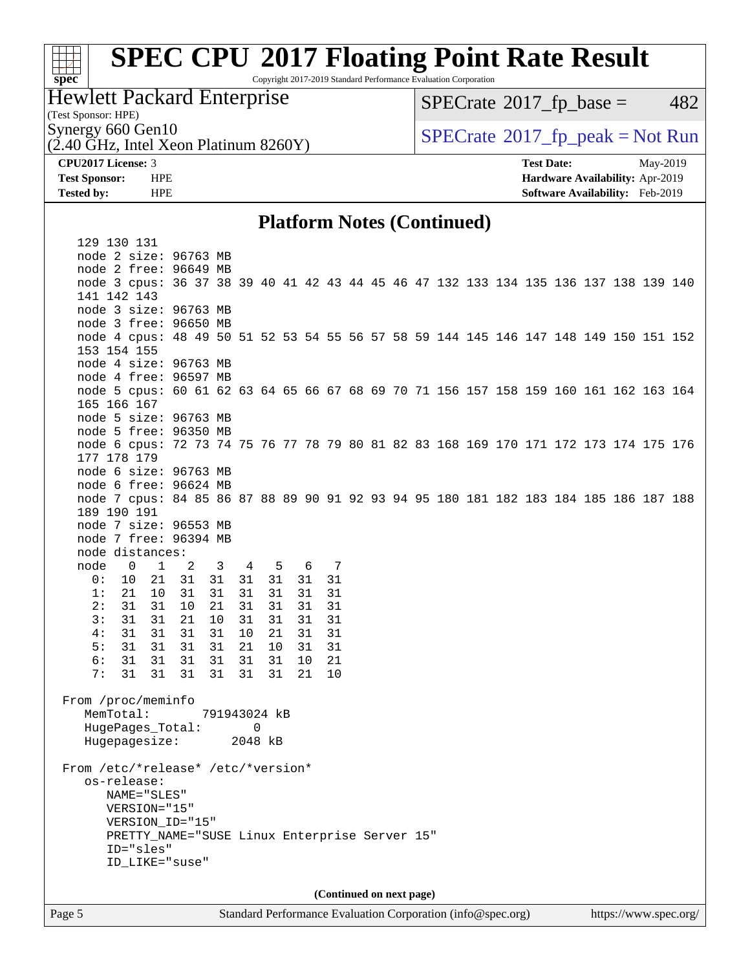### $\pm r$ **[spec](http://www.spec.org/)**

## **[SPEC CPU](http://www.spec.org/auto/cpu2017/Docs/result-fields.html#SPECCPU2017FloatingPointRateResult)[2017 Floating Point Rate Result](http://www.spec.org/auto/cpu2017/Docs/result-fields.html#SPECCPU2017FloatingPointRateResult)**

Copyright 2017-2019 Standard Performance Evaluation Corporation

### Hewlett Packard Enterprise

 $SPECTate@2017<sub>fr</sub> base = 482$ 

(Test Sponsor: HPE)

 $(2.40 \text{ GHz}, \text{Intel Xeon Platinum } 8260 \text{Y})$ 

Synergy 660 Gen10<br>  $\begin{array}{c}\n\text{SPECTate} \textcircled{2017\_fp\_peak} = \text{Not Run} \\
\text{SPECTate} \textcircled{2017\_fp\_peak} = \text{Not Run}\n\end{array}$ 

**[CPU2017 License:](http://www.spec.org/auto/cpu2017/Docs/result-fields.html#CPU2017License)** 3 **[Test Date:](http://www.spec.org/auto/cpu2017/Docs/result-fields.html#TestDate)** May-2019 **[Test Sponsor:](http://www.spec.org/auto/cpu2017/Docs/result-fields.html#TestSponsor)** HPE **[Hardware Availability:](http://www.spec.org/auto/cpu2017/Docs/result-fields.html#HardwareAvailability)** Apr-2019 **[Tested by:](http://www.spec.org/auto/cpu2017/Docs/result-fields.html#Testedby)** HPE **[Software Availability:](http://www.spec.org/auto/cpu2017/Docs/result-fields.html#SoftwareAvailability)** Feb-2019

#### **[Platform Notes \(Continued\)](http://www.spec.org/auto/cpu2017/Docs/result-fields.html#PlatformNotes)**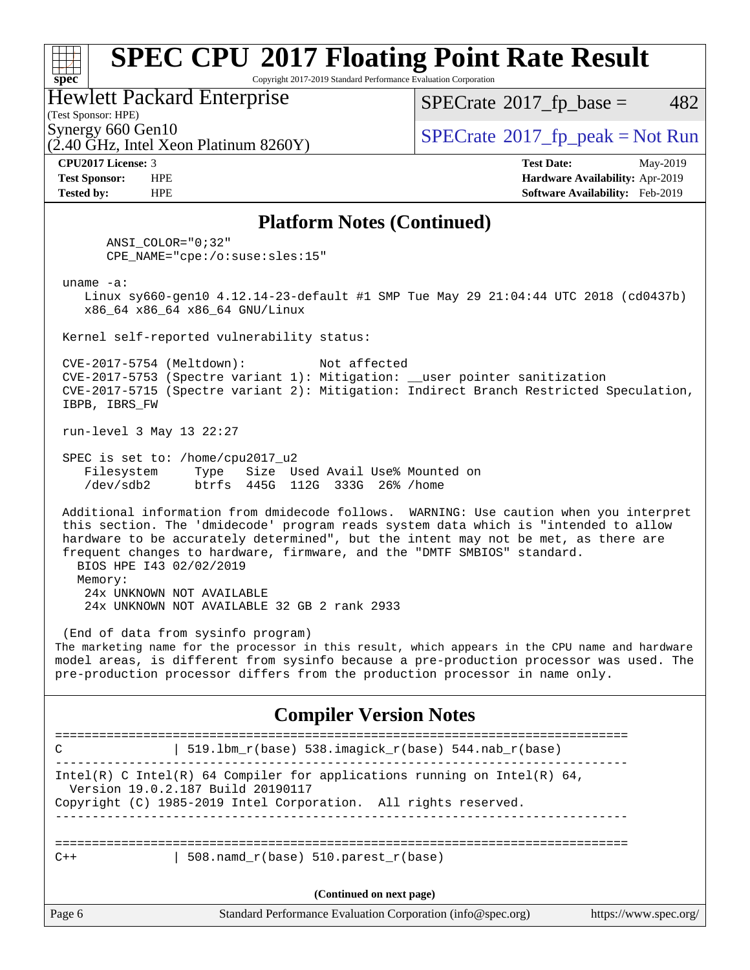# **[spec](http://www.spec.org/)**<sup>®</sup>

## **[SPEC CPU](http://www.spec.org/auto/cpu2017/Docs/result-fields.html#SPECCPU2017FloatingPointRateResult)[2017 Floating Point Rate Result](http://www.spec.org/auto/cpu2017/Docs/result-fields.html#SPECCPU2017FloatingPointRateResult)**

Copyright 2017-2019 Standard Performance Evaluation Corporation

#### Hewlett Packard Enterprise

 $(2.40 \text{ GHz}, \text{Intel Xeon Platinum } 8260 \text{Y})$ 

 $SPECTate@2017<sub>fr</sub> base = 482$ 

(Test Sponsor: HPE)

Synergy 660 Gen10<br>  $SPECrate^{\circ}2017$  $SPECrate^{\circ}2017$  fp\_peak = Not Run

**[CPU2017 License:](http://www.spec.org/auto/cpu2017/Docs/result-fields.html#CPU2017License)** 3 **[Test Date:](http://www.spec.org/auto/cpu2017/Docs/result-fields.html#TestDate)** May-2019 **[Test Sponsor:](http://www.spec.org/auto/cpu2017/Docs/result-fields.html#TestSponsor)** HPE **[Hardware Availability:](http://www.spec.org/auto/cpu2017/Docs/result-fields.html#HardwareAvailability)** Apr-2019 **[Tested by:](http://www.spec.org/auto/cpu2017/Docs/result-fields.html#Testedby)** HPE **[Software Availability:](http://www.spec.org/auto/cpu2017/Docs/result-fields.html#SoftwareAvailability)** Feb-2019

### **[Platform Notes \(Continued\)](http://www.spec.org/auto/cpu2017/Docs/result-fields.html#PlatformNotes)**

 ANSI\_COLOR="0;32" CPE\_NAME="cpe:/o:suse:sles:15"

uname -a:

 Linux sy660-gen10 4.12.14-23-default #1 SMP Tue May 29 21:04:44 UTC 2018 (cd0437b) x86\_64 x86\_64 x86\_64 GNU/Linux

Kernel self-reported vulnerability status:

 CVE-2017-5754 (Meltdown): Not affected CVE-2017-5753 (Spectre variant 1): Mitigation: \_\_user pointer sanitization CVE-2017-5715 (Spectre variant 2): Mitigation: Indirect Branch Restricted Speculation, IBPB, IBRS\_FW

run-level 3 May 13 22:27

 SPEC is set to: /home/cpu2017\_u2 Filesystem Type Size Used Avail Use% Mounted on /dev/sdb2 btrfs 445G 112G 333G 26% /home

 Additional information from dmidecode follows. WARNING: Use caution when you interpret this section. The 'dmidecode' program reads system data which is "intended to allow hardware to be accurately determined", but the intent may not be met, as there are frequent changes to hardware, firmware, and the "DMTF SMBIOS" standard. BIOS HPE I43 02/02/2019

 Memory: 24x UNKNOWN NOT AVAILABLE 24x UNKNOWN NOT AVAILABLE 32 GB 2 rank 2933

 (End of data from sysinfo program) The marketing name for the processor in this result, which appears in the CPU name and hardware model areas, is different from sysinfo because a pre-production processor was used. The pre-production processor differs from the production processor in name only.

### **[Compiler Version Notes](http://www.spec.org/auto/cpu2017/Docs/result-fields.html#CompilerVersionNotes)**

============================================================================== C  $| 519.1bm_r(base) 538.imagick_r(base) 544.nab_r(base)$ ------------------------------------------------------------------------------ Intel(R) C Intel(R) 64 Compiler for applications running on Intel(R)  $64$ , Version 19.0.2.187 Build 20190117 Copyright (C) 1985-2019 Intel Corporation. All rights reserved. ------------------------------------------------------------------------------ ==============================================================================  $C++$  | 508.namd  $r(base)$  510.parest  $r(base)$ **(Continued on next page)**

| age o |
|-------|
|-------|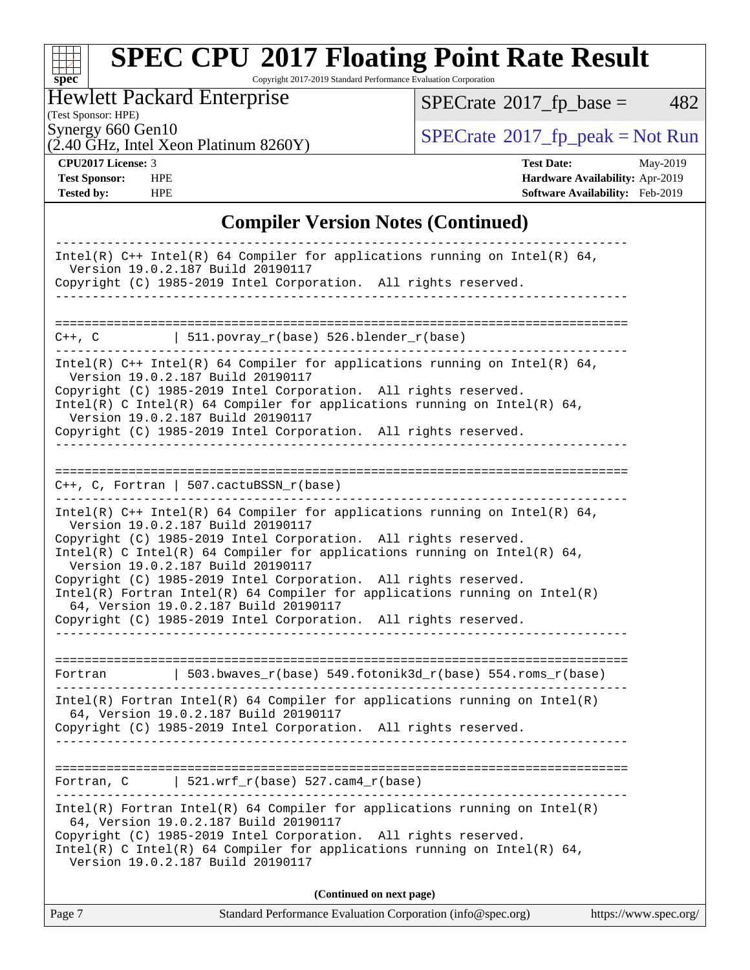# **[spec](http://www.spec.org/)**

# **[SPEC CPU](http://www.spec.org/auto/cpu2017/Docs/result-fields.html#SPECCPU2017FloatingPointRateResult)[2017 Floating Point Rate Result](http://www.spec.org/auto/cpu2017/Docs/result-fields.html#SPECCPU2017FloatingPointRateResult)**

Copyright 2017-2019 Standard Performance Evaluation Corporation

### Hewlett Packard Enterprise

 $SPECTate$ <sup>®</sup>[2017\\_fp\\_base =](http://www.spec.org/auto/cpu2017/Docs/result-fields.html#SPECrate2017fpbase) 482

(Test Sponsor: HPE)

 $(2.40 \text{ GHz}, \text{Intel Xeon Platinum } 8260 \text{Y})$ 

Synergy 660 Gen10<br>  $\begin{array}{c}\n\text{SPECTate} \textcircled{2017\_fp\_peak} = \text{Not Run} \\
\text{SPECTate} \textcircled{2017\_fp\_peak} = \text{Not Run}\n\end{array}$ 

**[CPU2017 License:](http://www.spec.org/auto/cpu2017/Docs/result-fields.html#CPU2017License)** 3 **[Test Date:](http://www.spec.org/auto/cpu2017/Docs/result-fields.html#TestDate)** May-2019 **[Test Sponsor:](http://www.spec.org/auto/cpu2017/Docs/result-fields.html#TestSponsor)** HPE **[Hardware Availability:](http://www.spec.org/auto/cpu2017/Docs/result-fields.html#HardwareAvailability)** Apr-2019 **[Tested by:](http://www.spec.org/auto/cpu2017/Docs/result-fields.html#Testedby)** HPE **[Software Availability:](http://www.spec.org/auto/cpu2017/Docs/result-fields.html#SoftwareAvailability)** Feb-2019

### **[Compiler Version Notes \(Continued\)](http://www.spec.org/auto/cpu2017/Docs/result-fields.html#CompilerVersionNotes)**

| Intel(R) $C++$ Intel(R) 64 Compiler for applications running on Intel(R) 64,<br>Version 19.0.2.187 Build 20190117                                                                                                                                                                                                                                                                                                                                                                                                                                                    |
|----------------------------------------------------------------------------------------------------------------------------------------------------------------------------------------------------------------------------------------------------------------------------------------------------------------------------------------------------------------------------------------------------------------------------------------------------------------------------------------------------------------------------------------------------------------------|
| Copyright (C) 1985-2019 Intel Corporation. All rights reserved.                                                                                                                                                                                                                                                                                                                                                                                                                                                                                                      |
|                                                                                                                                                                                                                                                                                                                                                                                                                                                                                                                                                                      |
| 511.povray_r(base) 526.blender_r(base)<br>$C++$ , $C$                                                                                                                                                                                                                                                                                                                                                                                                                                                                                                                |
| Intel(R) $C++$ Intel(R) 64 Compiler for applications running on Intel(R) 64,<br>Version 19.0.2.187 Build 20190117<br>Copyright (C) 1985-2019 Intel Corporation. All rights reserved.<br>Intel(R) C Intel(R) 64 Compiler for applications running on Intel(R) 64,<br>Version 19.0.2.187 Build 20190117<br>Copyright (C) 1985-2019 Intel Corporation. All rights reserved.                                                                                                                                                                                             |
| $C++$ , C, Fortran   507.cactuBSSN_r(base)                                                                                                                                                                                                                                                                                                                                                                                                                                                                                                                           |
| Intel(R) $C++$ Intel(R) 64 Compiler for applications running on Intel(R) 64,<br>Version 19.0.2.187 Build 20190117<br>Copyright (C) 1985-2019 Intel Corporation. All rights reserved.<br>Intel(R) C Intel(R) 64 Compiler for applications running on Intel(R) 64,<br>Version 19.0.2.187 Build 20190117<br>Copyright (C) 1985-2019 Intel Corporation. All rights reserved.<br>$Intel(R)$ Fortran Intel(R) 64 Compiler for applications running on Intel(R)<br>64, Version 19.0.2.187 Build 20190117<br>Copyright (C) 1985-2019 Intel Corporation. All rights reserved. |
| 503.bwaves_r(base) 549.fotonik3d_r(base) 554.roms_r(base)<br>Fortran                                                                                                                                                                                                                                                                                                                                                                                                                                                                                                 |
| $Intel(R)$ Fortran Intel(R) 64 Compiler for applications running on Intel(R)<br>64, Version 19.0.2.187 Build 20190117<br>Copyright (C) 1985-2019 Intel Corporation. All rights reserved.                                                                                                                                                                                                                                                                                                                                                                             |
|                                                                                                                                                                                                                                                                                                                                                                                                                                                                                                                                                                      |
| $ $ 521.wrf_r(base) 527.cam4_r(base)<br>Fortran, C                                                                                                                                                                                                                                                                                                                                                                                                                                                                                                                   |
| $Intel(R)$ Fortran Intel(R) 64 Compiler for applications running on Intel(R)<br>64, Version 19.0.2.187 Build 20190117<br>Copyright (C) 1985-2019 Intel Corporation. All rights reserved.<br>Intel(R) C Intel(R) 64 Compiler for applications running on Intel(R) 64,<br>Version 19.0.2.187 Build 20190117                                                                                                                                                                                                                                                            |
| (Continued on next page)                                                                                                                                                                                                                                                                                                                                                                                                                                                                                                                                             |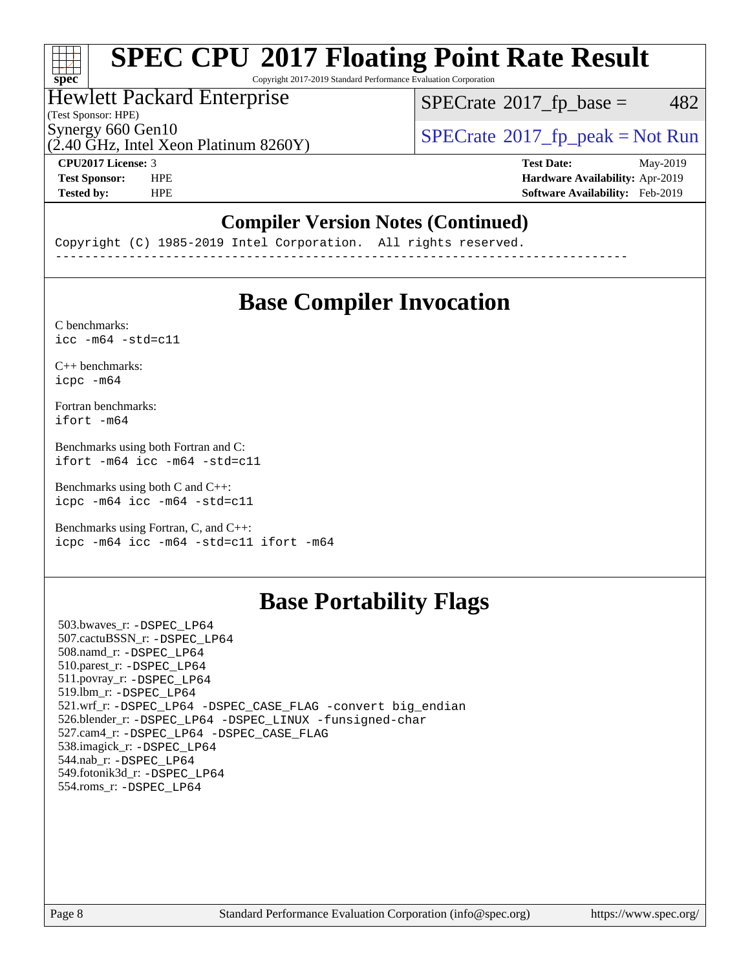### $\pm\pm\tau$ **[spec](http://www.spec.org/)**

# **[SPEC CPU](http://www.spec.org/auto/cpu2017/Docs/result-fields.html#SPECCPU2017FloatingPointRateResult)[2017 Floating Point Rate Result](http://www.spec.org/auto/cpu2017/Docs/result-fields.html#SPECCPU2017FloatingPointRateResult)**

Copyright 2017-2019 Standard Performance Evaluation Corporation

### Hewlett Packard Enterprise

 $SPECTate@2017<sub>fr</sub> base = 482$ 

(Test Sponsor: HPE)

Synergy 660 Gen10<br>  $SPECrate^{\circ}2017$  $SPECrate^{\circ}2017$ \_fp\_peak = Not Run

 $(2.40 \text{ GHz}, \text{Intel Xeon Platinum } 8260 \text{Y})$ 

**[CPU2017 License:](http://www.spec.org/auto/cpu2017/Docs/result-fields.html#CPU2017License)** 3 **[Test Date:](http://www.spec.org/auto/cpu2017/Docs/result-fields.html#TestDate)** May-2019 **[Test Sponsor:](http://www.spec.org/auto/cpu2017/Docs/result-fields.html#TestSponsor)** HPE **[Hardware Availability:](http://www.spec.org/auto/cpu2017/Docs/result-fields.html#HardwareAvailability)** Apr-2019 **[Tested by:](http://www.spec.org/auto/cpu2017/Docs/result-fields.html#Testedby)** HPE **[Software Availability:](http://www.spec.org/auto/cpu2017/Docs/result-fields.html#SoftwareAvailability)** Feb-2019

### **[Compiler Version Notes \(Continued\)](http://www.spec.org/auto/cpu2017/Docs/result-fields.html#CompilerVersionNotes)**

Copyright (C) 1985-2019 Intel Corporation. All rights reserved. ------------------------------------------------------------------------------

### **[Base Compiler Invocation](http://www.spec.org/auto/cpu2017/Docs/result-fields.html#BaseCompilerInvocation)**

[C benchmarks](http://www.spec.org/auto/cpu2017/Docs/result-fields.html#Cbenchmarks):  $\text{icc}$  -m64 -std=c11

[C++ benchmarks:](http://www.spec.org/auto/cpu2017/Docs/result-fields.html#CXXbenchmarks) [icpc -m64](http://www.spec.org/cpu2017/results/res2019q3/cpu2017-20190625-15837.flags.html#user_CXXbase_intel_icpc_64bit_4ecb2543ae3f1412ef961e0650ca070fec7b7afdcd6ed48761b84423119d1bf6bdf5cad15b44d48e7256388bc77273b966e5eb805aefd121eb22e9299b2ec9d9)

[Fortran benchmarks](http://www.spec.org/auto/cpu2017/Docs/result-fields.html#Fortranbenchmarks): [ifort -m64](http://www.spec.org/cpu2017/results/res2019q3/cpu2017-20190625-15837.flags.html#user_FCbase_intel_ifort_64bit_24f2bb282fbaeffd6157abe4f878425411749daecae9a33200eee2bee2fe76f3b89351d69a8130dd5949958ce389cf37ff59a95e7a40d588e8d3a57e0c3fd751)

[Benchmarks using both Fortran and C](http://www.spec.org/auto/cpu2017/Docs/result-fields.html#BenchmarksusingbothFortranandC): [ifort -m64](http://www.spec.org/cpu2017/results/res2019q3/cpu2017-20190625-15837.flags.html#user_CC_FCbase_intel_ifort_64bit_24f2bb282fbaeffd6157abe4f878425411749daecae9a33200eee2bee2fe76f3b89351d69a8130dd5949958ce389cf37ff59a95e7a40d588e8d3a57e0c3fd751) [icc -m64 -std=c11](http://www.spec.org/cpu2017/results/res2019q3/cpu2017-20190625-15837.flags.html#user_CC_FCbase_intel_icc_64bit_c11_33ee0cdaae7deeeab2a9725423ba97205ce30f63b9926c2519791662299b76a0318f32ddfffdc46587804de3178b4f9328c46fa7c2b0cd779d7a61945c91cd35)

[Benchmarks using both C and C++](http://www.spec.org/auto/cpu2017/Docs/result-fields.html#BenchmarksusingbothCandCXX): [icpc -m64](http://www.spec.org/cpu2017/results/res2019q3/cpu2017-20190625-15837.flags.html#user_CC_CXXbase_intel_icpc_64bit_4ecb2543ae3f1412ef961e0650ca070fec7b7afdcd6ed48761b84423119d1bf6bdf5cad15b44d48e7256388bc77273b966e5eb805aefd121eb22e9299b2ec9d9) [icc -m64 -std=c11](http://www.spec.org/cpu2017/results/res2019q3/cpu2017-20190625-15837.flags.html#user_CC_CXXbase_intel_icc_64bit_c11_33ee0cdaae7deeeab2a9725423ba97205ce30f63b9926c2519791662299b76a0318f32ddfffdc46587804de3178b4f9328c46fa7c2b0cd779d7a61945c91cd35)

[Benchmarks using Fortran, C, and C++:](http://www.spec.org/auto/cpu2017/Docs/result-fields.html#BenchmarksusingFortranCandCXX) [icpc -m64](http://www.spec.org/cpu2017/results/res2019q3/cpu2017-20190625-15837.flags.html#user_CC_CXX_FCbase_intel_icpc_64bit_4ecb2543ae3f1412ef961e0650ca070fec7b7afdcd6ed48761b84423119d1bf6bdf5cad15b44d48e7256388bc77273b966e5eb805aefd121eb22e9299b2ec9d9) [icc -m64 -std=c11](http://www.spec.org/cpu2017/results/res2019q3/cpu2017-20190625-15837.flags.html#user_CC_CXX_FCbase_intel_icc_64bit_c11_33ee0cdaae7deeeab2a9725423ba97205ce30f63b9926c2519791662299b76a0318f32ddfffdc46587804de3178b4f9328c46fa7c2b0cd779d7a61945c91cd35) [ifort -m64](http://www.spec.org/cpu2017/results/res2019q3/cpu2017-20190625-15837.flags.html#user_CC_CXX_FCbase_intel_ifort_64bit_24f2bb282fbaeffd6157abe4f878425411749daecae9a33200eee2bee2fe76f3b89351d69a8130dd5949958ce389cf37ff59a95e7a40d588e8d3a57e0c3fd751)

### **[Base Portability Flags](http://www.spec.org/auto/cpu2017/Docs/result-fields.html#BasePortabilityFlags)**

 503.bwaves\_r: [-DSPEC\\_LP64](http://www.spec.org/cpu2017/results/res2019q3/cpu2017-20190625-15837.flags.html#suite_basePORTABILITY503_bwaves_r_DSPEC_LP64) 507.cactuBSSN\_r: [-DSPEC\\_LP64](http://www.spec.org/cpu2017/results/res2019q3/cpu2017-20190625-15837.flags.html#suite_basePORTABILITY507_cactuBSSN_r_DSPEC_LP64) 508.namd\_r: [-DSPEC\\_LP64](http://www.spec.org/cpu2017/results/res2019q3/cpu2017-20190625-15837.flags.html#suite_basePORTABILITY508_namd_r_DSPEC_LP64) 510.parest\_r: [-DSPEC\\_LP64](http://www.spec.org/cpu2017/results/res2019q3/cpu2017-20190625-15837.flags.html#suite_basePORTABILITY510_parest_r_DSPEC_LP64) 511.povray\_r: [-DSPEC\\_LP64](http://www.spec.org/cpu2017/results/res2019q3/cpu2017-20190625-15837.flags.html#suite_basePORTABILITY511_povray_r_DSPEC_LP64) 519.lbm\_r: [-DSPEC\\_LP64](http://www.spec.org/cpu2017/results/res2019q3/cpu2017-20190625-15837.flags.html#suite_basePORTABILITY519_lbm_r_DSPEC_LP64) 521.wrf\_r: [-DSPEC\\_LP64](http://www.spec.org/cpu2017/results/res2019q3/cpu2017-20190625-15837.flags.html#suite_basePORTABILITY521_wrf_r_DSPEC_LP64) [-DSPEC\\_CASE\\_FLAG](http://www.spec.org/cpu2017/results/res2019q3/cpu2017-20190625-15837.flags.html#b521.wrf_r_baseCPORTABILITY_DSPEC_CASE_FLAG) [-convert big\\_endian](http://www.spec.org/cpu2017/results/res2019q3/cpu2017-20190625-15837.flags.html#user_baseFPORTABILITY521_wrf_r_convert_big_endian_c3194028bc08c63ac5d04de18c48ce6d347e4e562e8892b8bdbdc0214820426deb8554edfa529a3fb25a586e65a3d812c835984020483e7e73212c4d31a38223) 526.blender\_r: [-DSPEC\\_LP64](http://www.spec.org/cpu2017/results/res2019q3/cpu2017-20190625-15837.flags.html#suite_basePORTABILITY526_blender_r_DSPEC_LP64) [-DSPEC\\_LINUX](http://www.spec.org/cpu2017/results/res2019q3/cpu2017-20190625-15837.flags.html#b526.blender_r_baseCPORTABILITY_DSPEC_LINUX) [-funsigned-char](http://www.spec.org/cpu2017/results/res2019q3/cpu2017-20190625-15837.flags.html#user_baseCPORTABILITY526_blender_r_force_uchar_40c60f00ab013830e2dd6774aeded3ff59883ba5a1fc5fc14077f794d777847726e2a5858cbc7672e36e1b067e7e5c1d9a74f7176df07886a243d7cc18edfe67) 527.cam4\_r: [-DSPEC\\_LP64](http://www.spec.org/cpu2017/results/res2019q3/cpu2017-20190625-15837.flags.html#suite_basePORTABILITY527_cam4_r_DSPEC_LP64) [-DSPEC\\_CASE\\_FLAG](http://www.spec.org/cpu2017/results/res2019q3/cpu2017-20190625-15837.flags.html#b527.cam4_r_baseCPORTABILITY_DSPEC_CASE_FLAG) 538.imagick\_r: [-DSPEC\\_LP64](http://www.spec.org/cpu2017/results/res2019q3/cpu2017-20190625-15837.flags.html#suite_basePORTABILITY538_imagick_r_DSPEC_LP64) 544.nab\_r: [-DSPEC\\_LP64](http://www.spec.org/cpu2017/results/res2019q3/cpu2017-20190625-15837.flags.html#suite_basePORTABILITY544_nab_r_DSPEC_LP64) 549.fotonik3d\_r: [-DSPEC\\_LP64](http://www.spec.org/cpu2017/results/res2019q3/cpu2017-20190625-15837.flags.html#suite_basePORTABILITY549_fotonik3d_r_DSPEC_LP64) 554.roms\_r: [-DSPEC\\_LP64](http://www.spec.org/cpu2017/results/res2019q3/cpu2017-20190625-15837.flags.html#suite_basePORTABILITY554_roms_r_DSPEC_LP64)